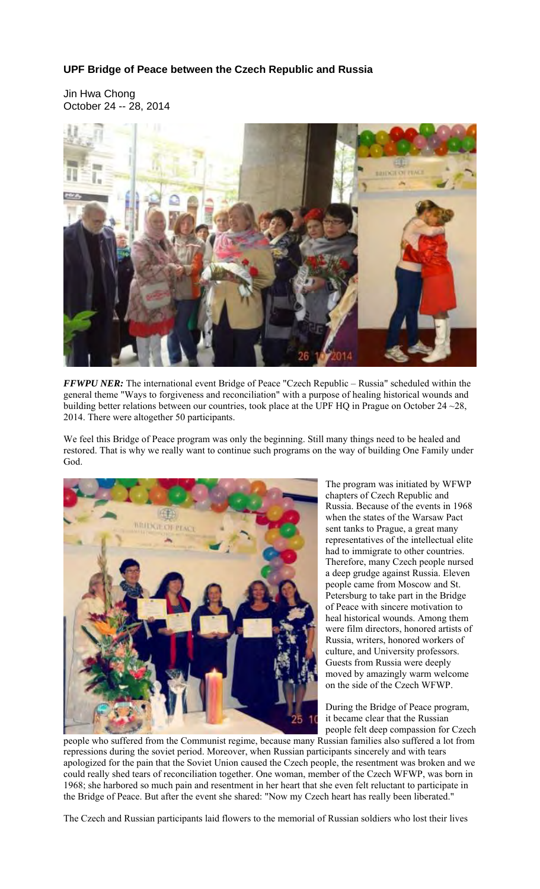## **UPF Bridge of Peace between the Czech Republic and Russia**

Jin Hwa Chong October 24 -- 28, 2014



*FFWPU NER:* The international event Bridge of Peace "Czech Republic – Russia" scheduled within the general theme "Ways to forgiveness and reconciliation" with a purpose of healing historical wounds and building better relations between our countries, took place at the UPF HQ in Prague on October 24 ~28, 2014. There were altogether 50 participants.

We feel this Bridge of Peace program was only the beginning. Still many things need to be healed and restored. That is why we really want to continue such programs on the way of building One Family under God.



The program was initiated by WFWP chapters of Czech Republic and Russia. Because of the events in 1968 when the states of the Warsaw Pact sent tanks to Prague, a great many representatives of the intellectual elite had to immigrate to other countries. Therefore, many Czech people nursed a deep grudge against Russia. Eleven people came from Moscow and St. Petersburg to take part in the Bridge of Peace with sincere motivation to heal historical wounds. Among them were film directors, honored artists of Russia, writers, honored workers of culture, and University professors. Guests from Russia were deeply moved by amazingly warm welcome on the side of the Czech WFWP.

During the Bridge of Peace program, it became clear that the Russian people felt deep compassion for Czech

people who suffered from the Communist regime, because many Russian families also suffered a lot from repressions during the soviet period. Moreover, when Russian participants sincerely and with tears apologized for the pain that the Soviet Union caused the Czech people, the resentment was broken and we could really shed tears of reconciliation together. One woman, member of the Czech WFWP, was born in 1968; she harbored so much pain and resentment in her heart that she even felt reluctant to participate in the Bridge of Peace. But after the event she shared: "Now my Czech heart has really been liberated."

The Czech and Russian participants laid flowers to the memorial of Russian soldiers who lost their lives